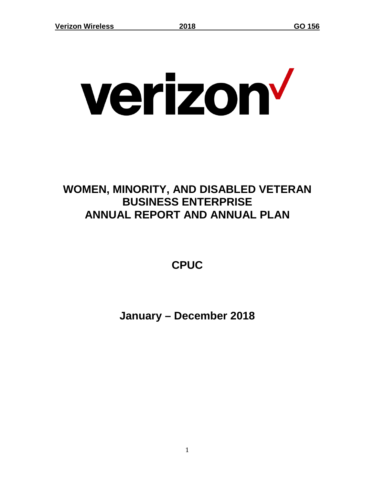# verizon

# **WOMEN, MINORITY, AND DISABLED VETERAN BUSINESS ENTERPRISE ANNUAL REPORT AND ANNUAL PLAN**

**CPUC**

**January – December 2018**

1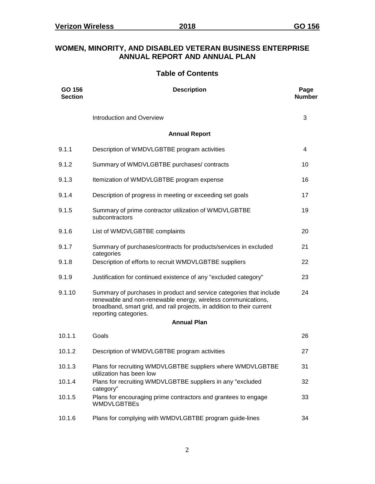#### **WOMEN, MINORITY, AND DISABLED VETERAN BUSINESS ENTERPRISE ANNUAL REPORT AND ANNUAL PLAN**

#### **Table of Contents**

| GO 156<br><b>Section</b> | <b>Description</b>                                                                                                                                                                                                                     | Page<br><b>Number</b> |
|--------------------------|----------------------------------------------------------------------------------------------------------------------------------------------------------------------------------------------------------------------------------------|-----------------------|
|                          | Introduction and Overview                                                                                                                                                                                                              | 3                     |
|                          | <b>Annual Report</b>                                                                                                                                                                                                                   |                       |
| 9.1.1                    | Description of WMDVLGBTBE program activities                                                                                                                                                                                           | $\overline{4}$        |
| 9.1.2                    | Summary of WMDVLGBTBE purchases/ contracts                                                                                                                                                                                             | 10                    |
| 9.1.3                    | Itemization of WMDVLGBTBE program expense                                                                                                                                                                                              | 16                    |
| 9.1.4                    | Description of progress in meeting or exceeding set goals                                                                                                                                                                              | 17                    |
| 9.1.5                    | Summary of prime contractor utilization of WMDVLGBTBE<br>subcontractors                                                                                                                                                                | 19                    |
| 9.1.6                    | List of WMDVLGBTBE complaints                                                                                                                                                                                                          | 20                    |
| 9.1.7                    | Summary of purchases/contracts for products/services in excluded<br>categories                                                                                                                                                         | 21                    |
| 9.1.8                    | Description of efforts to recruit WMDVLGBTBE suppliers                                                                                                                                                                                 | 22                    |
| 9.1.9                    | Justification for continued existence of any "excluded category"                                                                                                                                                                       | 23                    |
| 9.1.10                   | Summary of purchases in product and service categories that include<br>renewable and non-renewable energy, wireless communications,<br>broadband, smart grid, and rail projects, in addition to their current<br>reporting categories. | 24                    |
|                          | <b>Annual Plan</b>                                                                                                                                                                                                                     |                       |
| 10.1.1                   | Goals                                                                                                                                                                                                                                  | 26                    |
| 10.1.2                   | Description of WMDVLGBTBE program activities                                                                                                                                                                                           | 27                    |
| 10.1.3                   | Plans for recruiting WMDVLGBTBE suppliers where WMDVLGBTBE<br>utilization has been low                                                                                                                                                 | 31                    |
| 10.1.4                   | Plans for recruiting WMDVLGBTBE suppliers in any "excluded<br>category"                                                                                                                                                                | 32                    |
| 10.1.5                   | Plans for encouraging prime contractors and grantees to engage<br>WMDVLGBTBEs                                                                                                                                                          | 33                    |
| 10.1.6                   | Plans for complying with WMDVLGBTBE program guide-lines                                                                                                                                                                                | 34                    |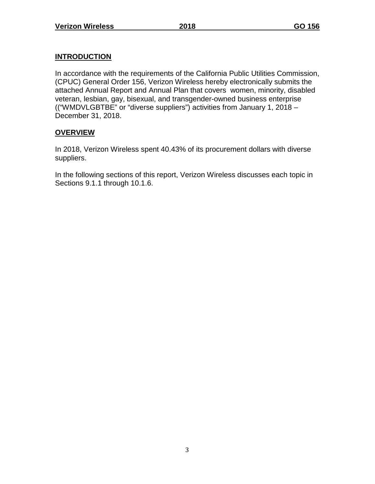# **INTRODUCTION**

In accordance with the requirements of the California Public Utilities Commission, (CPUC) General Order 156, Verizon Wireless hereby electronically submits the attached Annual Report and Annual Plan that covers women, minority, disabled veteran, lesbian, gay, bisexual, and transgender-owned business enterprise (("WMDVLGBTBE" or "diverse suppliers") activities from January 1, 2018 – December 31, 2018.

# **OVERVIEW**

In 2018, Verizon Wireless spent 40.43% of its procurement dollars with diverse suppliers.

In the following sections of this report, Verizon Wireless discusses each topic in Sections 9.1.1 through 10.1.6.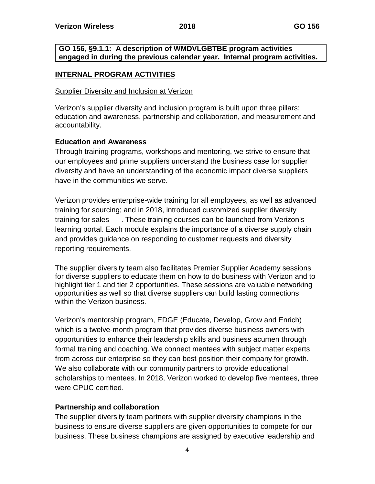#### **GO 156, §9.1.1: A description of WMDVLGBTBE program activities engaged in during the previous calendar year. Internal program activities.**

#### **INTERNAL PROGRAM ACTIVITIES**

#### Supplier Diversity and Inclusion at Verizon

Verizon's supplier diversity and inclusion program is built upon three pillars: education and awareness, partnership and collaboration, and measurement and accountability.

#### **Education and Awareness**

Through training programs, workshops and mentoring, we strive to ensure that our employees and prime suppliers understand the business case for supplier diversity and have an understanding of the economic impact diverse suppliers have in the communities we serve.

Verizon provides enterprise-wide training for all employees, as well as advanced training for sourcing; and in 2018, introduced customized supplier diversity training for sales . These training courses can be launched from Verizon's learning portal. Each module explains the importance of a diverse supply chain and provides guidance on responding to customer requests and diversity reporting requirements.

The supplier diversity team also facilitates Premier Supplier Academy sessions for diverse suppliers to educate them on how to do business with Verizon and to highlight tier 1 and tier 2 opportunities. These sessions are valuable networking opportunities as well so that diverse suppliers can build lasting connections within the Verizon business.

Verizon's mentorship program, EDGE (Educate, Develop, Grow and Enrich) which is a twelve-month program that provides diverse business owners with opportunities to enhance their leadership skills and business acumen through formal training and coaching. We connect mentees with subject matter experts from across our enterprise so they can best position their company for growth. We also collaborate with our community partners to provide educational scholarships to mentees. In 2018, Verizon worked to develop five mentees, three were CPUC certified.

# **Partnership and collaboration**

The supplier diversity team partners with supplier diversity champions in the business to ensure diverse suppliers are given opportunities to compete for our business. These business champions are assigned by executive leadership and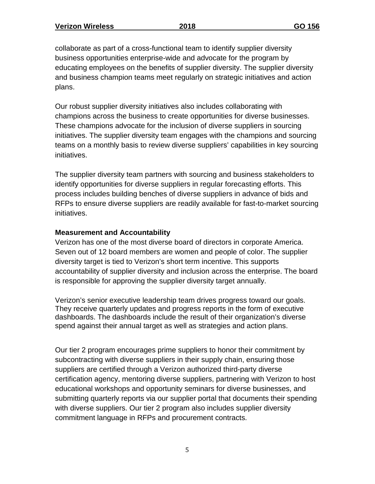collaborate as part of a cross-functional team to identify supplier diversity business opportunities enterprise-wide and advocate for the program by educating employees on the benefits of supplier diversity. The supplier diversity and business champion teams meet regularly on strategic initiatives and action plans.

Our robust supplier diversity initiatives also includes collaborating with champions across the business to create opportunities for diverse businesses. These champions advocate for the inclusion of diverse suppliers in sourcing initiatives. The supplier diversity team engages with the champions and sourcing teams on a monthly basis to review diverse suppliers' capabilities in key sourcing initiatives.

The supplier diversity team partners with sourcing and business stakeholders to identify opportunities for diverse suppliers in regular forecasting efforts. This process includes building benches of diverse suppliers in advance of bids and RFPs to ensure diverse suppliers are readily available for fast-to-market sourcing initiatives.

#### **Measurement and Accountability**

Verizon has one of the most diverse board of directors in corporate America. Seven out of 12 board members are women and people of color. The supplier diversity target is tied to Verizon's short term incentive. This supports accountability of supplier diversity and inclusion across the enterprise. The board is responsible for approving the supplier diversity target annually.

Verizon's senior executive leadership team drives progress toward our goals. They receive quarterly updates and progress reports in the form of executive dashboards. The dashboards include the result of their organization's diverse spend against their annual target as well as strategies and action plans.

Our tier 2 program encourages prime suppliers to honor their commitment by subcontracting with diverse suppliers in their supply chain, ensuring those suppliers are certified through a Verizon authorized third-party diverse certification agency, mentoring diverse suppliers, partnering with Verizon to host educational workshops and opportunity seminars for diverse businesses, and submitting quarterly reports via our supplier portal that documents their spending with diverse suppliers. Our tier 2 program also includes supplier diversity commitment language in RFPs and procurement contracts.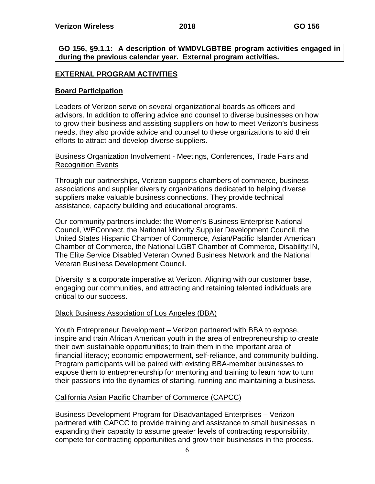**GO 156, §9.1.1: A description of WMDVLGBTBE program activities engaged in during the previous calendar year. External program activities.**

# **EXTERNAL PROGRAM ACTIVITIES**

#### **Board Participation**

Leaders of Verizon serve on several organizational boards as officers and advisors. In addition to offering advice and counsel to diverse businesses on how to grow their business and assisting suppliers on how to meet Verizon's business needs, they also provide advice and counsel to these organizations to aid their efforts to attract and develop diverse suppliers.

#### Business Organization Involvement - Meetings, Conferences, Trade Fairs and Recognition Events

Through our partnerships, Verizon supports chambers of commerce, business associations and supplier diversity organizations dedicated to helping diverse suppliers make valuable business connections. They provide technical assistance, capacity building and educational programs.

Our community partners include: the Women's Business Enterprise National Council, WEConnect, the National Minority Supplier Development Council, the United States Hispanic Chamber of Commerce, Asian/Pacific Islander American Chamber of Commerce, the National LGBT Chamber of Commerce, Disability:IN, The Elite Service Disabled Veteran Owned Business Network and the National Veteran Business Development Council.

Diversity is a corporate imperative at Verizon. Aligning with our customer base, engaging our communities, and attracting and retaining talented individuals are critical to our success.

#### Black Business Association of Los Angeles (BBA)

Youth Entrepreneur Development – Verizon partnered with BBA to expose, inspire and train African American youth in the area of entrepreneurship to create their own sustainable opportunities; to train them in the important area of financial literacy; economic empowerment, self-reliance, and community building. Program participants will be paired with existing BBA-member businesses to expose them to entrepreneurship for mentoring and training to learn how to turn their passions into the dynamics of starting, running and maintaining a business.

# California Asian Pacific Chamber of Commerce (CAPCC)

Business Development Program for Disadvantaged Enterprises – Verizon partnered with CAPCC to provide training and assistance to small businesses in expanding their capacity to assume greater levels of contracting responsibility, compete for contracting opportunities and grow their businesses in the process.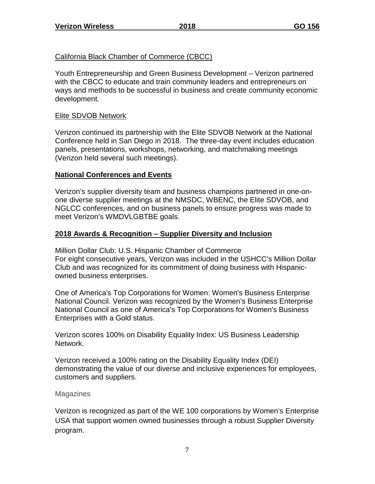# California Black Chamber of Commerce (CBCC)

Youth Entrepreneurship and Green Business Development – Verizon partnered with the CBCC to educate and train community leaders and entrepreneurs on ways and methods to be successful in business and create community economic development.

# Elite SDVOB Network

Verizon continued its partnership with the Elite SDVOB Network at the National Conference held in San Diego in 2018. The three-day event includes education panels, presentations, workshops, networking, and matchmaking meetings (Verizon held several such meetings).

# **National Conferences and Events**

Verizon's supplier diversity team and business champions partnered in one-onone diverse supplier meetings at the NMSDC, WBENC, the Elite SDVOB, and NGLCC conferences, and on business panels to ensure progress was made to meet Verizon's WMDVLGBTBE goals.

# **2018 Awards & Recognition – Supplier Diversity and Inclusion**

Million Dollar Club: U.S. Hispanic Chamber of Commerce For eight consecutive years, Verizon was included in the USHCC's Million Dollar Club and was recognized for its commitment of doing business with Hispanicowned business enterprises.

One of America's Top Corporations for Women: Women's Business Enterprise National Council. Verizon was recognized by the Women's Business Enterprise National Council as one of America's Top Corporations for Women's Business Enterprises with a Gold status.

Verizon scores 100% on Disability Equality Index: US Business Leadership Network.

Verizon received a 100% rating on the Disability Equality Index (DEI) demonstrating the value of our diverse and inclusive experiences for employees, customers and suppliers.

# Magazines

Verizon is recognized as part of the WE 100 corporations by Women's Enterprise USA that support women owned businesses through a robust Supplier Diversity program.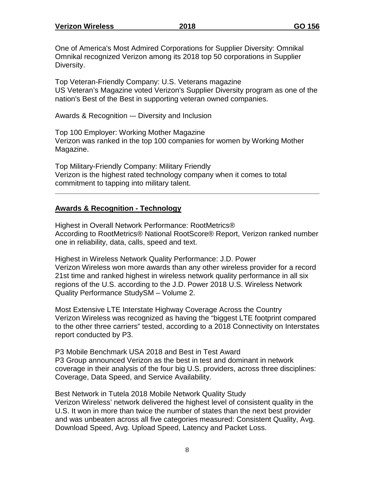One of America's Most Admired Corporations for Supplier Diversity: Omnikal Omnikal recognized Verizon among its 2018 top 50 corporations in Supplier Diversity.

Top Veteran-Friendly Company: U.S. Veterans magazine US Veteran's Magazine voted Verizon's Supplier Diversity program as one of the nation's Best of the Best in supporting veteran owned companies.

Awards & Recognition -– Diversity and Inclusion

Top 100 Employer: Working Mother Magazine Verizon was ranked in the top 100 companies for women by Working Mother Magazine.

Top Military-Friendly Company: Military Friendly Verizon is the highest rated technology company when it comes to total commitment to tapping into military talent.

# **Awards & Recognition - Technology**

Highest in Overall Network Performance: RootMetrics® According to RootMetrics® National RootScore® Report, Verizon ranked number one in reliability, data, calls, speed and text.

Highest in Wireless Network Quality Performance: J.D. Power Verizon Wireless won more awards than any other wireless provider for a record 21st time and ranked highest in wireless network quality performance in all six regions of the U.S. according to the J.D. Power 2018 U.S. Wireless Network Quality Performance StudySM – Volume 2.

Most Extensive LTE Interstate Highway Coverage Across the Country Verizon Wireless was recognized as having the "biggest LTE footprint compared to the other three carriers" tested, according to a 2018 Connectivity on Interstates report conducted by P3.

P3 Mobile Benchmark USA 2018 and Best in Test Award P3 Group announced Verizon as the best in test and dominant in network coverage in their analysis of the four big U.S. providers, across three disciplines: Coverage, Data Speed, and Service Availability.

Best Network in Tutela 2018 Mobile Network Quality Study Verizon Wireless' network delivered the highest level of consistent quality in the U.S. It won in more than twice the number of states than the next best provider and was unbeaten across all five categories measured: Consistent Quality, Avg. Download Speed, Avg. Upload Speed, Latency and Packet Loss.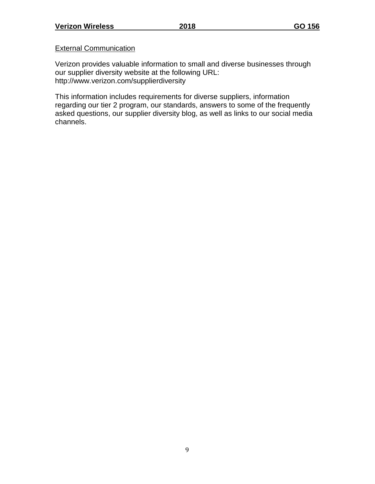#### External Communication

Verizon provides valuable information to small and diverse businesses through our supplier diversity website at the following URL: <http://www.verizon.com/supplierdiversity>

This information includes requirements for diverse suppliers, information regarding our tier 2 program, our standards, answers to some of the frequently asked questions, our supplier diversity blog, as well as links to our social media channels.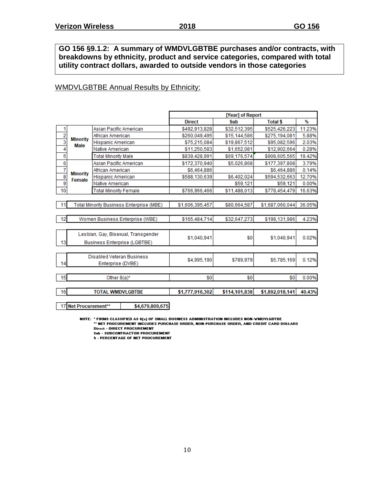**GO 156 §9.1.2: A summary of WMDVLGBTBE purchases and/or contracts, with breakdowns by ethnicity, product and service categories, compared with total utility contract dollars, awarded to outside vendors in those categories**

#### WMDVLGBTBE Annual Results by Ethnicity:

|               |                           |                                                 |                 |                 | [Year] of Report |                 |        |
|---------------|---------------------------|-------------------------------------------------|-----------------|-----------------|------------------|-----------------|--------|
|               |                           |                                                 |                 | <b>Direct</b>   | Sub              | <b>Total \$</b> | %      |
| 1             |                           | Asian Pacific American                          |                 | \$492,913,828   | \$32,512,395     | \$525,426,223   | 11.23% |
| $\frac{2}{3}$ | <b>Minority</b>           | African American                                |                 | \$260,049,495   | \$15,144,586     | \$275,194,081   | 5.88%  |
|               | Male                      | Hispanic American                               |                 | \$75,215,084    | \$19,867,512     | \$95,082,596    | 2.03%  |
| 4             |                           | Native American                                 |                 | \$11,250,583    | \$1,652,081      | \$12,902,664    | 0.28%  |
| 5             |                           | <b>Total Minority Male</b>                      |                 | \$839,428,991   | \$69,176,574     | \$908,605,565   | 19.42% |
| $\frac{6}{7}$ |                           | Asian Pacific American                          |                 | \$172,370,940   | \$5,026,868      | \$177,397,808   | 3.79%  |
|               |                           | African American                                |                 | \$6,464,886     |                  | \$6,464,886     | 0.14%  |
| $\frac{8}{9}$ | <b>Minority</b><br>Female | Hispanic American                               |                 | \$588,130,639   | \$6,402,024      | \$594,532,663   | 12.70% |
|               |                           | Native American                                 |                 |                 | \$59,121         | \$59,121        | 0.00%  |
| 10            |                           | <b>Total Minority Female</b>                    |                 | \$766,966,466   | \$11,488,013     | \$778,454,479   | 16.63% |
|               |                           |                                                 |                 |                 |                  |                 |        |
| 11            |                           | <b>Total Minority Business Enterprise (MBE)</b> |                 | \$1,606,395,457 | \$80,664,587     | \$1,687,060,044 | 36.05% |
|               |                           |                                                 |                 |                 |                  |                 |        |
| 12            |                           | Women Business Enterprise (WBE)                 |                 | \$165,484,714   | \$32,647,273     | \$198,131,986   | 4.23%  |
|               |                           |                                                 |                 |                 |                  |                 |        |
|               |                           | Lesbian, Gay, Bisexual, Transgender             |                 |                 |                  |                 |        |
| 13            |                           | <b>Business Enterprise (LGBTBE)</b>             |                 | \$1,040,941     | \$0              | \$1,040,941     | 0.02%  |
|               |                           |                                                 |                 |                 |                  |                 |        |
|               |                           |                                                 |                 |                 |                  |                 |        |
|               |                           | <b>Disabled Veteran Business</b>                |                 | \$4,995,190     | \$789,979        | \$5,785,169     | 0.12%  |
| 14            |                           | Enterprise (DVBE)                               |                 |                 |                  |                 |        |
|               |                           |                                                 |                 |                 |                  |                 |        |
| 15            |                           | Other 8(a)*                                     |                 | \$0             | \$0              | \$0             | 0.00%  |
|               |                           |                                                 |                 |                 |                  |                 |        |
| 16            |                           | <b>TOTAL WMDVLGBTBE</b>                         |                 | \$1,777,916,302 | \$114,101,838    | \$1,892,018,141 | 40.43% |
|               |                           |                                                 |                 |                 |                  |                 |        |
|               | 17 Net Procurement**      |                                                 | \$4,679,809,675 |                 |                  |                 |        |

NOTE: "FIRMS CLASSIFIED AS 8(a) OF SMALL BUSINESS ADMINISTRATION INCLUDES NON-WMDYLGBTBE<br>" NET PROCUREMENT INCLUDES PURCHASE ORDER, NON-PURCHASE ORDER, AND CREDIT CARD DOLLARS **Direct - DIRECT PROCUREMENT** 

**Sub - SUBCONTRACTOR PROCUREMENT** 

**2 - PERCENTAGE OF NET PROCUREMENT**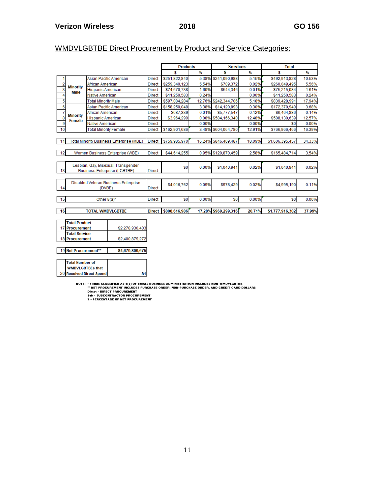# WMDVLGBTBE Direct Procurement by Product and Service Categories:

|                                   |                              |                                          |               | <b>Products</b> |        | <b>Services</b>      |        | <b>Total</b>    |        |
|-----------------------------------|------------------------------|------------------------------------------|---------------|-----------------|--------|----------------------|--------|-----------------|--------|
|                                   |                              |                                          |               | \$              | %      | \$                   | %      | \$              | %      |
| 1                                 |                              | Asian Pacific American                   | <b>Direct</b> | \$251,822,840   | 5.38%  | \$241,090,988        | 5.15%  | \$492,913,828   | 10.53% |
| $\frac{2}{3}$<br><b>Minority</b>  | African American             |                                          | <b>Direct</b> | \$259,340,123   | 5.54%  | \$709,372            | 0.02%  | \$260,049,495   | 5.56%  |
| <b>Male</b>                       | Hispanic American            |                                          | <b>Direct</b> | \$74,670,738    | 1.60%  | \$544.346            | 0.01%  | \$75,215,084    | 1.61%  |
| 4                                 | Native American              |                                          | Direct        | \$11,250,583    | 0.24%  |                      | 0.00%  | \$11,250,583    | 0.24%  |
| 5                                 | <b>Total Minority Male</b>   |                                          | <b>Direct</b> | \$597,084,284   | 12.76% | \$242,344,706        | 5.18%  | \$839,428,991   | 17.94% |
| $\overline{6}$                    |                              | Asian Pacific American                   | <b>Direct</b> | \$158,250,048   | 3.38%  | \$14,120,893         | 0.30%  | \$172,370,940   | 3.68%  |
| 7<br><b>Minority</b>              | African American             |                                          | <b>Direct</b> | \$687,339       | 0.01%  | \$5,777,547          | 0.12%  | \$6,464,886     | 0.14%  |
| $\overline{\mathbf{8}}$<br>Female | <b>Hispanic American</b>     |                                          | <b>Direct</b> | \$3,964,299     | 0.08%  | \$584,166,340        | 12.48% | \$588,130,639   | 12.57% |
| $\overline{9}$                    | Native American              |                                          | <b>Direct</b> |                 | 0.00%  |                      | 0.00%  | \$0             | 0.00%  |
| 10                                | <b>Total Minority Female</b> |                                          | <b>Direct</b> | \$162,901,686   | 3.48%  | \$604,064,780        | 12.91% | \$766,966,466   | 16.39% |
|                                   |                              |                                          |               |                 |        |                      |        |                 |        |
| 11                                |                              | Total Minority Business Enterprise (MBE) | <b>Direct</b> | \$759,985,970   |        | 16.24% \$846.409.487 | 18.09% | \$1,606,395,457 | 34.33% |
|                                   |                              |                                          |               |                 |        |                      |        |                 |        |
| 12                                |                              | Women Business Enterprise (WBE)          | Direct        | \$44,614,255    |        | 0.95% \$120.870.459  | 2.58%  | \$165,484,714   | 3.54%  |
|                                   |                              |                                          |               |                 |        |                      |        |                 |        |
|                                   |                              | Lesbian, Gay, Bisexual, Transgender      |               |                 |        |                      |        |                 |        |
| 13                                |                              | <b>Business Enterprise (LGBTBE)</b>      | <b>Direct</b> | \$0             | 0.00%  | \$1,040,941          | 0.02%  | \$1,040,941     | 0.02%  |
|                                   |                              |                                          |               |                 |        |                      |        |                 |        |
|                                   |                              | Disabled Veteran Business Enterprise     |               |                 |        |                      |        |                 |        |
| 14                                | (DVBE)                       |                                          | <b>Direct</b> | \$4,016,762     | 0.09%  | \$978.429            | 0.02%  | \$4,995.190     | 0.11%  |
|                                   |                              |                                          |               |                 |        |                      |        |                 |        |
| 15                                | Other 8(a)*                  |                                          | <b>Direct</b> | \$0             | 0.00%  | \$0                  | 0.00%  | \$0             | 0.00%  |
|                                   |                              |                                          |               |                 |        |                      |        |                 |        |
| 16                                | <b>TOTAL WMDVLGBTBE</b>      |                                          | <b>Direct</b> | \$808,616,986   |        | 17.28% \$969,299,316 | 20.71% | \$1,777,916,302 | 37.99% |
|                                   |                              |                                          |               |                 |        |                      |        |                 |        |
| <b>Total Product</b>              |                              |                                          |               |                 |        |                      |        |                 |        |
| 17 Procurement                    |                              | \$2,278,930,403                          |               |                 |        |                      |        |                 |        |
| <b>Total Service</b>              |                              |                                          |               |                 |        |                      |        |                 |        |
| <b>18 Procurement</b>             |                              | \$2,400,879,272                          |               |                 |        |                      |        |                 |        |

19 Net Procurement\*\* \$4,679,809,675

| Total Number of                  |  |
|----------------------------------|--|
| <b>WMDVLGBTBEs that</b>          |  |
| <b>20 Received Direct Spendl</b> |  |

NOTE: "FIRMS CLASSIFIED AS 8(a) OF SMALL BUSINESS ADMINISTRATION INCLUDES NON-WMDYLGBTBE<br>"" NET PROCUREMENT INCLUDES PURCHASE ORDER, NON-PURCHASE ORDER, AND CREDIT CARD DOLLARS<br>Direct - DIRECT PROCUREMENT<br>Sab - SUBCONTRACT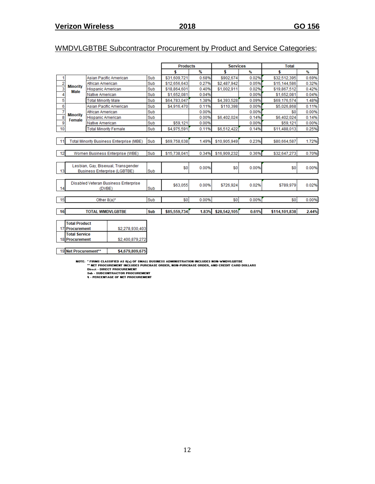# WMDVLGBTBE Subcontractor Procurement by Product and Service Categories:

|                         |                                |                                                 |     | <b>Products</b> |               | <b>Services</b> |       | <b>Total</b>  |       |
|-------------------------|--------------------------------|-------------------------------------------------|-----|-----------------|---------------|-----------------|-------|---------------|-------|
|                         |                                |                                                 |     | \$              | $\frac{9}{6}$ | \$              | %     | \$            | %     |
| 1                       |                                | Asian Pacific American                          | Sub | \$31,609,721    | 0.68%         | \$902,674       | 0.02% | \$32,512,395  | 0.69% |
| $\overline{2}$          |                                | African American                                | Sub | \$12,656,643    | 0.27%         | \$2.487.942     | 0.05% | \$15,144,586  | 0.32% |
| 3                       | <b>Minority</b><br><b>Male</b> | <b>Hispanic American</b>                        | Sub | \$18,864.601    | 0.40%         | \$1,002,911     | 0.02% | \$19,867,512  | 0.42% |
| 4                       |                                | Native American                                 | Sub | \$1,652,081     | 0.04%         |                 | 0.00% | \$1,652,081   | 0.04% |
| 5                       |                                | <b>Total Minority Male</b>                      | Sub | \$64,783,047    | 1.38%         | \$4.393,528     | 0.09% | \$69,176,574  | 1.48% |
| 6                       |                                | Asian Pacific American                          | Sub | \$4,916,470     | 0.11%         | \$110,398       | 0.00% | \$5,026,868   | 0.11% |
| 7                       | <b>Minority</b>                | African American                                | Sub |                 | 0.00%         |                 | 0.00% | \$0           | 0.00% |
| $\overline{\mathbf{8}}$ | Female                         | <b>Hispanic American</b>                        | Sub |                 | 0.00%         | \$6,402.024     | 0.14% | \$6,402.024   | 0.14% |
| 9                       |                                | Native American                                 | Sub | \$59,121        | 0.00%         |                 | 0.00% | \$59,121      | 0.00% |
| 10                      |                                | <b>Total Minority Female</b>                    | Sub | \$4,975,591     | 0.11%         | \$6,512,422     | 0.14% | \$11,488,013  | 0.25% |
|                         |                                |                                                 |     |                 |               |                 |       |               |       |
| 11                      |                                | <b>Total Minority Business Enterprise (MBE)</b> | Sub | \$69,758,638    | 1.49%         | \$10.905.949    | 0.23% | \$80.664.587  | 1.72% |
|                         |                                |                                                 |     |                 |               |                 |       |               |       |
| 12                      |                                | Women Business Enterprise (WBE)                 | Sub | \$15,738,041    | 0.34%         | \$16,909,232    | 0.36% | \$32,647,273  | 0.70% |
|                         |                                |                                                 |     |                 |               |                 |       |               |       |
|                         |                                | Lesbian, Gay, Bisexual, Transgender             |     | \$0             | 0.00%         | \$0             | 0.00% | \$0           | 0.00% |
| 13                      |                                | <b>Business Enterprise (LGBTBE)</b>             | Sub |                 |               |                 |       |               |       |
|                         |                                |                                                 |     |                 |               |                 |       |               |       |
|                         |                                | Disabled Veteran Business Enterprise            |     | \$63,055        | 0.00%         | \$726.924       | 0.02% | \$789.979     | 0.02% |
| 14                      |                                | (DVBE)                                          | Sub |                 |               |                 |       |               |       |
|                         |                                |                                                 |     |                 |               |                 |       |               |       |
| 15                      |                                | Other $8(a)^*$                                  | Sub | \$0             | 0.00%         | \$0             | 0.00% | \$0           | 0.00% |
| 16                      |                                | <b>TOTAL WMDVLGBTBE</b>                         | Sub | \$85,559,734    | 1.83%         | \$28,542,105    | 0.61% | \$114,101,838 | 2.44% |
|                         |                                |                                                 |     |                 |               |                 |       |               |       |
|                         | <b>Total Product</b>           |                                                 |     |                 |               |                 |       |               |       |

| <b>Total Product</b> |                 |
|----------------------|-----------------|
| 17 Procurement       | \$2,278,930,403 |
| <b>Total Service</b> |                 |
| 18 Procurement       | \$2,400,879,272 |
|                      |                 |

19 Net Procurement\*\* \$4,679,809,675

NOTE: " FIRMS CLASSIFIED AS 8(a) OF SMALL BUSINESS ADMINISTRATION INCLUDES NON-WMDYLGBTBE<br>" NET PROCUREMENT INCLUDES PURCHASE ORDER, NON-PURCHASE ORDER, AND CREDIT CARD DOLLARS<br>Direct - DIRECT PROCUREMENT<br>Sub - SUBCONTRACT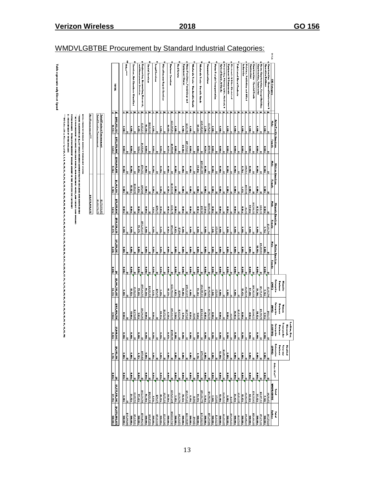**Table represents only Direct Spend** 

| TBE Procurement by Standard Indus |  |  |  |  |  |  |  |
|-----------------------------------|--|--|--|--|--|--|--|
|                                   |  |  |  |  |  |  |  |
|                                   |  |  |  |  |  |  |  |

|                                                                                                                                                                                                                                                                                                                                                                                                                                                          |                                 |                              |                         |                                                                                                                                                                                                                                                                                                                                                                                                                  |                              |                                      |                 |                        |                                       |                                  |                        |                             |                                                                                                                                      | are concerned                                                 |                                                                 |  |
|----------------------------------------------------------------------------------------------------------------------------------------------------------------------------------------------------------------------------------------------------------------------------------------------------------------------------------------------------------------------------------------------------------------------------------------------------------|---------------------------------|------------------------------|-------------------------|------------------------------------------------------------------------------------------------------------------------------------------------------------------------------------------------------------------------------------------------------------------------------------------------------------------------------------------------------------------------------------------------------------------|------------------------------|--------------------------------------|-----------------|------------------------|---------------------------------------|----------------------------------|------------------------|-----------------------------|--------------------------------------------------------------------------------------------------------------------------------------|---------------------------------------------------------------|-----------------------------------------------------------------|--|
|                                                                                                                                                                                                                                                                                                                                                                                                                                                          |                                 |                              |                         |                                                                                                                                                                                                                                                                                                                                                                                                                  |                              |                                      |                 |                        |                                       |                                  |                        |                             | 'OTAL DOLLARS - TOTAL PROCEEENIENT DOLLAR AMOUNT IN THE SPECIFIC SIC CATEGORY                                                        | PERCENTAGE OF TOTAL                                           |                                                                 |  |
|                                                                                                                                                                                                                                                                                                                                                                                                                                                          |                                 |                              |                         |                                                                                                                                                                                                                                                                                                                                                                                                                  |                              |                                      |                 |                        |                                       |                                  |                        |                             | ILA PRACHEZIZIN I NOLO ILA PREPIRA PRACHE PRACHE PRACHE PRACHE PRACHE DE CRESSIA PRACHEZIZIN I STATULO I PRACH                       |                                                               |                                                                 |  |
|                                                                                                                                                                                                                                                                                                                                                                                                                                                          |                                 |                              |                         |                                                                                                                                                                                                                                                                                                                                                                                                                  |                              |                                      |                 |                        |                                       |                                  |                        |                             | IOTE: FIRMS WITH MILIT MIDORITY OVERESSID STATES<br>TIRMS CLASSIFIED AS II,J of SMALL DESIEESS ADMINISTRATION INCLIDES NOW WOMEOFFIE |                                                               |                                                                 |  |
|                                                                                                                                                                                                                                                                                                                                                                                                                                                          |                                 |                              |                         |                                                                                                                                                                                                                                                                                                                                                                                                                  |                              |                                      |                 |                        |                                       | 4,679,809,675                    |                        |                             |                                                                                                                                      | <b>HotPractionals</b>                                         |                                                                 |  |
|                                                                                                                                                                                                                                                                                                                                                                                                                                                          |                                 |                              |                         |                                                                                                                                                                                                                                                                                                                                                                                                                  |                              |                                      |                 |                        |                                       | 12,400,879,272<br>22,278,930,403 |                        |                             |                                                                                                                                      | <b>Tatel Service Pracurement</b><br>Tatel Praduct Pracurement |                                                                 |  |
| <b><i><u>ALCEARED</u></i></b>                                                                                                                                                                                                                                                                                                                                                                                                                            | 21.77.116.302<br> -<br>  21.992 | E<br>$\overline{\mathbf{e}}$ | $\frac{1}{2}$           | $\frac{1}{2}$                                                                                                                                                                                                                                                                                                                                                                                                    | 1165,484,714                 | 11,444,395,457                       | Ë               | 111.250.583            | \$588, 130, 639<br><b>R.SZK</b>       | 175.215.044<br><b>List</b>       | 141111<br>6.14%        | 2264,049,495<br><b>ESSE</b> | 112,370,940                                                                                                                          | ×<br>102.912.121<br> -<br> -                                  | 10191                                                           |  |
|                                                                                                                                                                                                                                                                                                                                                                                                                                                          |                                 |                              |                         |                                                                                                                                                                                                                                                                                                                                                                                                                  |                              |                                      |                 |                        |                                       |                                  |                        |                             |                                                                                                                                      |                                                               |                                                                 |  |
| 096'666'289'<br><b>EXAMPLE</b>                                                                                                                                                                                                                                                                                                                                                                                                                           | ŧ                               | ŧ                            | <b>Exter</b><br>ŧ       | Ŀ<br>i.                                                                                                                                                                                                                                                                                                                                                                                                          | ÷                            | İ.                                   | İ.              | İ.                     | ÷                                     | i.                               | i.                     | İ.                          | ÷.                                                                                                                                   | İ.                                                            | $-1.04$                                                         |  |
| $rac{1}{\frac{1}{2} \cdot \frac{1}{2} \cdot \frac{1}{2} \cdot \frac{1}{2} \cdot \frac{1}{2} \cdot \frac{1}{2} \cdot \frac{1}{2} \cdot \frac{1}{2} \cdot \frac{1}{2} \cdot \frac{1}{2} \cdot \frac{1}{2} \cdot \frac{1}{2} \cdot \frac{1}{2} \cdot \frac{1}{2} \cdot \frac{1}{2} \cdot \frac{1}{2} \cdot \frac{1}{2} \cdot \frac{1}{2} \cdot \frac{1}{2} \cdot \frac{1}{2} \cdot \frac{1}{2} \cdot \frac{1}{2} \cdot \frac{1}{2} \cdot \frac{1}{2} \cdot$ | 26.52%                          | $\frac{1}{2}$                | <b>Rep</b>              | <b>Execut</b>                                                                                                                                                                                                                                                                                                                                                                                                    | <b>E</b>                     | 15.52x                               | <b>E</b>        | ×.                     | kan k                                 | <b>Res</b>                       | 15.52x                 | <b>Figure</b>               | l.                                                                                                                                   | <b>E</b>                                                      | Services, Mut Elreuhere Clarified                               |  |
| <b>ERLAND</b>                                                                                                                                                                                                                                                                                                                                                                                                                                            | 3,085,703<br>225.11             | zar:                         | $\frac{1}{2}$           | Ŀ                                                                                                                                                                                                                                                                                                                                                                                                                | 1.279,405<br>$\frac{1}{2}$   | 862'908<br>229752                    | <b>Rep</b>      | <b>Ref</b>             | <b>Passa</b>                          | <b>Figure</b>                    | 862'98<br><b>Exite</b> | zer :                       | $\frac{124 \times 1}{2}$                                                                                                             | <b>SP</b>                                                     | ad Hanagement Sorvices                                          |  |
| \$789,490,313                                                                                                                                                                                                                                                                                                                                                                                                                                            | 612,839,700                     |                              | \$978,429               | $\frac{1}{x}$                                                                                                                                                                                                                                                                                                                                                                                                    | \$14,396,565                 | \$597,464,707                        |                 |                        | <b>\$583,203,687</b><br>\$583,203,687 |                                  | 026'201                | \$709,372                   | \$9.926.492<br> -<br> -                                                                                                              | 3,523,237                                                     | Engineering, Accumbing, Recench,                                |  |
| <b>THE ASS</b>                                                                                                                                                                                                                                                                                                                                                                                                                                           | <b>XXX</b>                      | Ę                            | k.                      | <u>I</u>                                                                                                                                                                                                                                                                                                                                                                                                         | ŧ                            | <b>Exite</b>                         | l:              | ē                      |                                       | I.                               | <b>E</b>               | I                           |                                                                                                                                      | <b>Exter</b>                                                  | Sacial Services                                                 |  |
| 114,471,599<br><b>100.02</b>                                                                                                                                                                                                                                                                                                                                                                                                                             | 14,020,185<br>E                 | ×.<br>ŀ                      | k.                      | <b>Execut</b><br>Ŀ                                                                                                                                                                                                                                                                                                                                                                                               | <b>Externe</b>               | 14,020,189<br><b>Listz</b>           | <b>E</b>        | ×.                     | k.                                    | F                                | <b>Exit</b>            | <b>Exercise</b>             | kan k                                                                                                                                | 14,020,189<br>k.                                              |                                                                 |  |
| 1282833                                                                                                                                                                                                                                                                                                                                                                                                                                                  | 129.674                         | ŧ                            |                         | Ŀ                                                                                                                                                                                                                                                                                                                                                                                                                |                              | 2219,672                             |                 |                        |                                       | 239,673                          |                        |                             |                                                                                                                                      |                                                               | Legal Services                                                  |  |
| <b>X88.881</b><br>Ebi 888.22\$                                                                                                                                                                                                                                                                                                                                                                                                                           | 19,87,810                       | $\frac{1}{x}$                | <b>Ref</b>              | $\frac{1}{\sin x}$                                                                                                                                                                                                                                                                                                                                                                                               | 13.13%                       | $rac{1}{2}$                          | Į               | <b>Real</b>            | $\frac{1}{x}$                         | $\frac{1}{x}$                    | $\frac{1}{2}$          | <b>Real</b>                 | $\frac{1}{2}$                                                                                                                        | <b>Final</b>                                                  | Hircollanowa Ropair Sorvicas                                    |  |
|                                                                                                                                                                                                                                                                                                                                                                                                                                                          | 21.54%                          | <b>External</b>              | <b>E</b>                |                                                                                                                                                                                                                                                                                                                                                                                                                  | \$9.872,810<br>$rac{1}{25}$  | 15.27%                               | l.              | Į                      | k.                                    | <b>RE</b>                        | $\frac{1}{2}$          | ŧ                           | <b>Site</b>                                                                                                                          | <b>NESS</b>                                                   |                                                                 |  |
| <b>xee est</b><br> <br>  22'29'335'11                                                                                                                                                                                                                                                                                                                                                                                                                    | 329,261,244                     | ŀ۵                           |                         |                                                                                                                                                                                                                                                                                                                                                                                                                  | 895.321,680                  | 232,898,623                          |                 |                        | 597394                                | 324.675                          | \$3,868,330            |                             | \$4,195,401                                                                                                                          | \$22,547,563                                                  | Burinaaz Servicas                                               |  |
| <b>Bit All</b>                                                                                                                                                                                                                                                                                                                                                                                                                                           | <b>Exist</b>                    | zar z                        | <b>Res</b>              | $\begin{array}{c c c c} \hline \text{} & \text{} & \text{} \\ \hline \text{} & \text{} & \text{} \\ \hline \text{} & \text{} & \text{} \\ \hline \text{} & \text{} & \text{} \\ \hline \text{} & \text{} & \text{} \\ \hline \text{} & \text{} & \text{} \\ \hline \text{} & \text{} & \text{} \\ \hline \text{} & \text{} & \text{} \\ \hline \text{} & \text{} & \text{} \\ \hline \text{} & \text{} & \text{$ | <b>Exter</b>                 | 2207                                 | <b>Ref</b>      | ×.                     |                                       | <b>Res</b>                       | <b>Res</b>             | <b>Res</b>                  | zor 1                                                                                                                                | ŧ                                                             |                                                                 |  |
| 10.00.578                                                                                                                                                                                                                                                                                                                                                                                                                                                | 81,630,796                      | ŀ۵                           |                         |                                                                                                                                                                                                                                                                                                                                                                                                                  | 81.625,296                   | <b>ST.500</b>                        |                 |                        | $rac{1}{x}$                           |                                  |                        |                             | 211.68                                                                                                                               |                                                               | man present                                                     |  |
| 228, 135, 557                                                                                                                                                                                                                                                                                                                                                                                                                                            | 163,878,212<br>78.13            | xee s<br>k                   | <b>Extex</b><br>k       | Ŀ                                                                                                                                                                                                                                                                                                                                                                                                                | 34,077,125<br><b>E</b>       | 159,801,087<br><b>18.62</b>          | <b>Extex</b>    | zoo :                  |                                       | <b>Refer</b>                     | $\frac{1}{2}$          | zor.                        | 157,739,93                                                                                                                           | \$2,061,154<br>zoc.                                           | Equipment Stares<br>Humo Furniture, Furnishings and             |  |
| <b>RO.02</b>                                                                                                                                                                                                                                                                                                                                                                                                                                             | $\frac{1}{2}$                   | Ę                            | <b>Ref</b>              |                                                                                                                                                                                                                                                                                                                                                                                                                  | $\frac{1}{2}$                | <b>Externe</b>                       | F               | ē                      | Ę                                     | k.                               | <b>E</b>               | Ę                           | $\frac{1}{x}$                                                                                                                        | Ę                                                             |                                                                 |  |
| \$964,423                                                                                                                                                                                                                                                                                                                                                                                                                                                | \$8,542                         | Ie                           | ŧ                       |                                                                                                                                                                                                                                                                                                                                                                                                                  | 18,542                       |                                      |                 |                        |                                       |                                  |                        |                             |                                                                                                                                      |                                                               | Whalesda Trede-Mandarehle Gandr                                 |  |
| <b>ERE</b>                                                                                                                                                                                                                                                                                                                                                                                                                                               | 2516.85.775                     | ×.                           | 8576,035<br><b>Exit</b> | $\left  \cdot \right $                                                                                                                                                                                                                                                                                                                                                                                           | <b>E</b>                     | 504,555,918<br>72.26%                | <b>Execut</b>   | k.                     | $\frac{1}{2}$                         | <b>E</b>                         | <b>Exit</b>            | 37.01z                      | $\frac{1}{2}$                                                                                                                        | 35.22%                                                        | Whates trade-Durable Gandr                                      |  |
| 0699244,690<br><b>10.00</b>                                                                                                                                                                                                                                                                                                                                                                                                                              | k#                              | zor.                         | <b>E</b>                |                                                                                                                                                                                                                                                                                                                                                                                                                  | 11.164,822                   | <b>E.192</b>                         | <b>Side</b>     | zar :                  | zoo s                                 | \$182,141<br>2.63%               | <b>Exter</b>           | 258,428,355<br>zor.         | $\frac{1}{2}$                                                                                                                        | 245,945,422<br>$\frac{2.282}{2}$                              |                                                                 |  |
| \$173,297,542                                                                                                                                                                                                                                                                                                                                                                                                                                            | \$16,755,748                    | l۵                           |                         | $\left  \cdot \right $                                                                                                                                                                                                                                                                                                                                                                                           | $\frac{1}{4}$<br>182,29      | \$8,993,028                          |                 |                        |                                       | \$4,666,650                      |                        |                             | \$510,115                                                                                                                            | \$3,816,263                                                   | Camanications                                                   |  |
| <b>ERA</b>                                                                                                                                                                                                                                                                                                                                                                                                                                               | <b>E</b>                        | kaan.                        | ×.                      | <b>Exit</b>                                                                                                                                                                                                                                                                                                                                                                                                      | ŧ                            | zi ez                                | <b>Ref</b>      | ē                      | $\frac{1}{x}$                         | ŧ                                | <b>Ref</b>             | <b>Ref</b>                  | ķ                                                                                                                                    | l.                                                            | Hatar Freight Treaspartation                                    |  |
| 93,669,274                                                                                                                                                                                                                                                                                                                                                                                                                                               | \$75,000                        |                              | 13.00×                  | $\frac{1}{2}$<br>Ŀ                                                                                                                                                                                                                                                                                                                                                                                               |                              | \$75,000                             |                 | zar'                   | $rac{2}{x}$                           | $\frac{1}{2}$                    | $\frac{1}{2}$          | $\frac{1}{2}$               | $\frac{1}{x}$                                                                                                                        | $\frac{1}{2}$                                                 |                                                                 |  |
| 23,483,849<br><b>ERLAND</b>                                                                                                                                                                                                                                                                                                                                                                                                                              | 3.240,727<br><b>13.02</b>       | ×.<br>ŧ                      | 2240.727                | Ŀ                                                                                                                                                                                                                                                                                                                                                                                                                | <b>Externe</b>               | <b>Execut</b>                        | <b>Exercise</b> |                        |                                       |                                  |                        |                             |                                                                                                                                      |                                                               | Optical Guada, & Cluckr<br>towning, Phatagraphic, Modical,<br>۰ |  |
| <b>10.02</b>                                                                                                                                                                                                                                                                                                                                                                                                                                             | $\frac{1}{2}$                   | $\frac{1}{2}$                | $\frac{1}{x}$           | $\frac{1}{x}$                                                                                                                                                                                                                                                                                                                                                                                                    | $\frac{1}{2}$                | $rac{1}{2}$                          | $\frac{1}{2}$   | zar 1                  | $\frac{1}{2}$                         | $\frac{1}{x}$                    | $\frac{1}{2}$          | $\frac{1}{2}$               | $\frac{1}{2}$                                                                                                                        | $\frac{1}{x}$                                                 | Equipment & Gampaneous                                          |  |
| 181,648,933                                                                                                                                                                                                                                                                                                                                                                                                                                              | 21,285                          | ś                            |                         |                                                                                                                                                                                                                                                                                                                                                                                                                  | 21,285                       |                                      |                 | <b>Ext</b>             |                                       |                                  |                        |                             |                                                                                                                                      |                                                               | Electranic & Other Electrical                                   |  |
| 196.02×1<br>196.09×1                                                                                                                                                                                                                                                                                                                                                                                                                                     | \$3,461,845<br>26.82            | zoo :                        | kaan.                   | $\left  \cdot \right $                                                                                                                                                                                                                                                                                                                                                                                           | 13.461,845<br>36.92          | <b>Rep</b>                           | kan i           |                        | zoo.                                  | kan.                             | <b>Ref</b>             | <b>Ref</b>                  | k.                                                                                                                                   | kaan.                                                         | Fabricated Metal Products                                       |  |
| <b>MALANZ</b>                                                                                                                                                                                                                                                                                                                                                                                                                                            | 15.43%                          | ×.                           | <b>Exter</b>            |                                                                                                                                                                                                                                                                                                                                                                                                                  | l.                           | 15.43%                               | <b>Best</b>     | <b>Exter</b>           | ×00×                                  | k.                               | <b>First</b>           | <b>E.F.K</b>                | k.                                                                                                                                   | <b>External</b>                                               |                                                                 |  |
| \$10,405,687                                                                                                                                                                                                                                                                                                                                                                                                                                             | \$1,605,389                     |                              |                         | $\frac{1}{\frac{1}{2}}$                                                                                                                                                                                                                                                                                                                                                                                          |                              | \$1,605,389                          |                 |                        |                                       | 282.92                           | \$687,339              | 2911,768                    |                                                                                                                                      |                                                               | Princing, Publiching and Alliad                                 |  |
| 120,466,605<br><b>ER ARE</b>                                                                                                                                                                                                                                                                                                                                                                                                                             | 74,235,062<br>22373             | zoo s                        | <b>Exite</b>            | l,                                                                                                                                                                                                                                                                                                                                                                                                               | \$4,844,233<br>$\frac{1}{2}$ | <b>ST.62</b>                         | <b>Figure</b>   | zor 7                  | $\frac{1}{x}$                         | \$69,390,830<br><b>Site</b>      | <b>Figure</b>          | <b>Res</b>                  | $\frac{1}{x}$                                                                                                                        | <b>Ref</b>                                                    | Contractors                                                     |  |
| <b>ERLAND</b>                                                                                                                                                                                                                                                                                                                                                                                                                                            | 27.22                           | zoo s                        | ×.                      | E                                                                                                                                                                                                                                                                                                                                                                                                                | <b>#.12x</b>                 | 028.082.020<br> <br>  <b>7.01.01</b> | I.              | <b>12.92%</b>          | $\frac{1}{x}$                         | xzz.                             | <b>Ref</b>             | Ę                           | I.                                                                                                                                   | zoo :                                                         | Cawtractina - Special Trade<br>Cauctractina, Cantractur         |  |
| 859,276,846                                                                                                                                                                                                                                                                                                                                                                                                                                              | 22,447,133                      |                              | ë                       | Ŀ                                                                                                                                                                                                                                                                                                                                                                                                                | 10,741,715                   | 11.675,419                           |                 | E8505211               |                                       | 3424.836                         |                        |                             |                                                                                                                                      |                                                               | Houry Cuntruction, Except Building                              |  |
| <b>10.02</b>                                                                                                                                                                                                                                                                                                                                                                                                                                             | \$4,810,472<br><b>E.14%</b>     | $\frac{1}{2}$                | zoo a<br>법              | $\frac{2}{3}$<br>Ŀ                                                                                                                                                                                                                                                                                                                                                                                               | 2928,673<br><b>East</b>      | 23.881,799<br>$\frac{1}{2}$          | zoo :           | $\frac{1}{2}$          | 2.76%                                 | Į                                | <b>Figure</b>          | zoo a                       | $\frac{1}{2}$                                                                                                                        | zor s                                                         | Cantractian - General Cantracture &<br>Operation Builders       |  |
| F<br>361.371.624                                                                                                                                                                                                                                                                                                                                                                                                                                         | <b>WHDPLGBTBE</b>               | ŧ                            | Gase                    | <u>LEGRTBE</u>                                                                                                                                                                                                                                                                                                                                                                                                   | <b>Gas)</b>                  | <b>Caser</b>                         | Ī               | F                      | I<br>\$2,881,799                      | F                                | I                      | F                           | I                                                                                                                                    | F                                                             | Sit Categury                                                    |  |
| Ī                                                                                                                                                                                                                                                                                                                                                                                                                                                        | i                               | <b>Octor 8(4)</b>            | Estarial                | Enterprise                                                                                                                                                                                                                                                                                                                                                                                                       | Estarial                     | Enterprise.                          |                 | <b>Nation American</b> | Hirpanic American                     |                                  |                        | <b>African American</b>     |                                                                                                                                      | Arian Pacific American                                        |                                                                 |  |
|                                                                                                                                                                                                                                                                                                                                                                                                                                                          |                                 |                              | Buriansi                | Buriners                                                                                                                                                                                                                                                                                                                                                                                                         | Buriance:                    | Burianes<br>B                        |                 |                        |                                       |                                  |                        |                             |                                                                                                                                      |                                                               |                                                                 |  |
|                                                                                                                                                                                                                                                                                                                                                                                                                                                          |                                 |                              | Ì<br>Direkler           | <b><i><u><u><b></b></u></u></i></b> <u>[</u><br>inasid<br>۹                                                                                                                                                                                                                                                                                                                                                      | Í                            | į                                    |                 |                        |                                       |                                  |                        |                             |                                                                                                                                      |                                                               |                                                                 |  |
|                                                                                                                                                                                                                                                                                                                                                                                                                                                          |                                 |                              |                         | Louise, Gay,                                                                                                                                                                                                                                                                                                                                                                                                     |                              |                                      |                 |                        |                                       |                                  |                        |                             |                                                                                                                                      |                                                               |                                                                 |  |

# WMDVLGBTBE Procurement by Standard Industrial Categories:

accat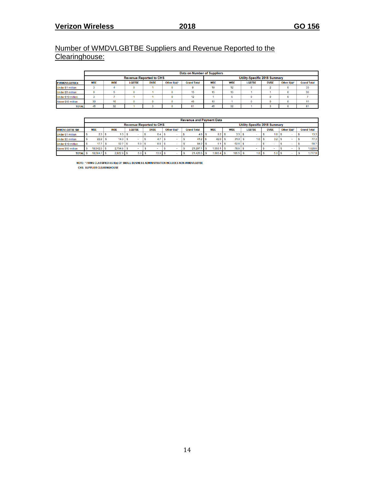# Number of WMDVLGBTBE Suppliers and Revenue Reported to the Clearinghouse:

|                    |            |            |               |                                |                | Data on Number of Suppliers |                               |               |               |             |             |                    |  |  |  |  |
|--------------------|------------|------------|---------------|--------------------------------|----------------|-----------------------------|-------------------------------|---------------|---------------|-------------|-------------|--------------------|--|--|--|--|
|                    |            |            |               | <b>Revenue Reported to CHS</b> |                |                             | Utility-Specific 2018 Summary |               |               |             |             |                    |  |  |  |  |
| # WMDVLGBTBEs      | <b>MBE</b> | <b>WBE</b> | <b>LGBTBE</b> | <b>DVBE</b>                    | Other $8(a)^*$ | <b>Grand Total</b>          | <b>MBE</b>                    | <b>WRF</b>    | <b>LGBTBE</b> | <b>DVBE</b> | Other 8(a)* | <b>Grand Total</b> |  |  |  |  |
| Under \$1 million  |            |            | $\Omega$      |                                |                |                             | 19                            | 12            |               |             | o           | 33                 |  |  |  |  |
| Under \$5 million  |            |            | $\Omega$      |                                |                | 15                          | 15                            | 30<br>13<br>n |               |             |             |                    |  |  |  |  |
| Under \$10 million |            |            |               |                                |                | 12                          |                               |               |               |             | o           |                    |  |  |  |  |
| Above \$10 million | 30         | 16         | 0             |                                |                | 46                          | 10                            |               |               |             |             |                    |  |  |  |  |
| <b>TOTAL</b>       | 45         | 32         |               |                                |                | 81                          | 45                            | 32            |               |             | o           | 81                 |  |  |  |  |

|                       |              |              |                  |                                |                | <b>Revenue and Payment Data</b> |             |                 |                               |                  |             |                    |
|-----------------------|--------------|--------------|------------------|--------------------------------|----------------|---------------------------------|-------------|-----------------|-------------------------------|------------------|-------------|--------------------|
|                       |              |              |                  | <b>Revenue Reported to CHS</b> |                |                                 |             |                 | Utility-Specific 2018 Summary |                  |             |                    |
| <b>WMDVLGBTBE \$M</b> | <b>MBE</b>   | <b>WBE</b>   | <b>LGBTBE</b>    | <b>DVBE</b>                    | Other $8(a)^*$ | <b>Grand Total</b>              | <b>MBE</b>  | <b>WBE</b>      | <b>LGBTBE</b>                 | <b>DVBE</b>      | Other 8(a)* | <b>Grand Total</b> |
| Under \$1 million     | 2.3          | 1.3          |                  | 0.4S                           |                | $4.0-5$                         | 8.2         | $3.3 \text{ l}$ |                               | 1.81             |             | 13.3 <sub>1</sub>  |
| Under \$5 million     | 22.2         | 14.3         |                  |                                |                | $41.2$ S                        | 42.0        | 31.0            | 1.0                           | 3.2              |             | 77.3               |
| Under \$10 million    | 17.7         | 52.7         | $5.0$ $\sqrt{S}$ | $8.8$ $\sqrt{5}$               |                | $84.2$ S                        | 6.1         | $52.6$ S        | ۰                             |                  |             | 58.7               |
| Above \$10 million    | $18.542.5$ S | $2.754.6$ \$ |                  |                                |                | 21.297.1                        | 1.550.1     | 78.6            | ۰                             |                  |             | 1.628.6            |
| <b>TOTAL</b>          | 18,584.7 \$  | $2,822.9$ \$ | $5.0-5$          | 13.9 S                         |                | $21,426.5$ \$                   | $1,606.4$ S | $165.5$ \$      | 1.0 S                         | 5.0 <sub>5</sub> |             | 1.777.9            |

NOTE: \* FIRMS CLASSIFIED AS 8(a) OF SMALL BUSINESS ADMINISTRATION INCLUDES NON-WMDVLGBTBE

CHS: SUPPLIER CLEARINGHOUSE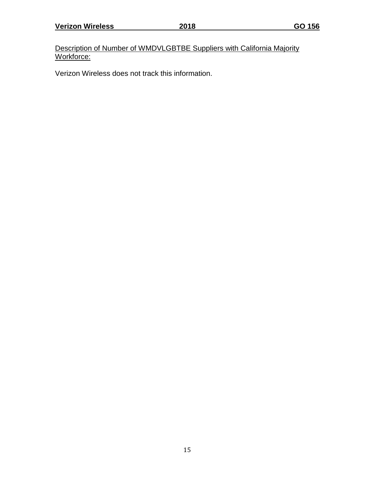Description of Number of WMDVLGBTBE Suppliers with California Majority Workforce:

Verizon Wireless does not track this information.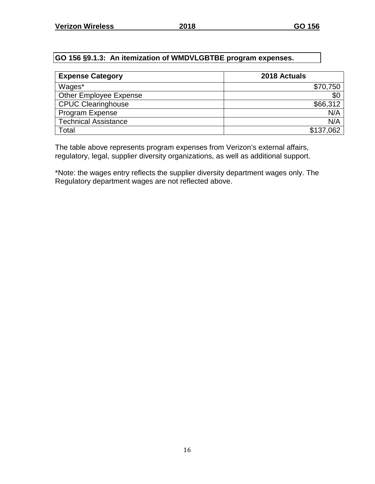# **GO 156 §9.1.3: An itemization of WMDVLGBTBE program expenses.**

| <b>Expense Category</b>       | 2018 Actuals |
|-------------------------------|--------------|
| Wages*                        | \$70,750     |
| <b>Other Employee Expense</b> | \$0          |
| <b>CPUC Clearinghouse</b>     | \$66,312     |
| Program Expense               | N/A          |
| <b>Technical Assistance</b>   | N/A          |
| Total                         | \$137,062    |

The table above represents program expenses from Verizon's external affairs, regulatory, legal, supplier diversity organizations, as well as additional support.

\*Note: the wages entry reflects the supplier diversity department wages only. The Regulatory department wages are not reflected above.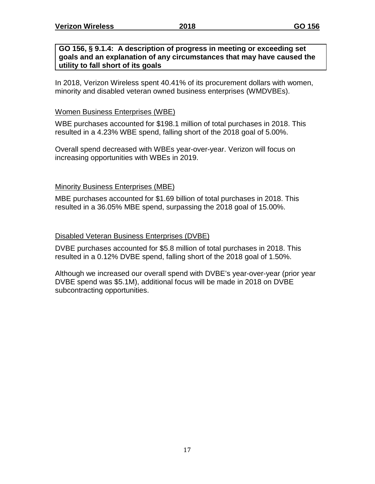#### **GO 156, § 9.1.4: A description of progress in meeting or exceeding set goals and an explanation of any circumstances that may have caused the utility to fall short of its goals**

In 2018, Verizon Wireless spent 40.41% of its procurement dollars with women, minority and disabled veteran owned business enterprises (WMDVBEs).

#### Women Business Enterprises (WBE)

WBE purchases accounted for \$198.1 million of total purchases in 2018. This resulted in a 4.23% WBE spend, falling short of the 2018 goal of 5.00%.

Overall spend decreased with WBEs year-over-year. Verizon will focus on increasing opportunities with WBEs in 2019.

#### Minority Business Enterprises (MBE)

MBE purchases accounted for \$1.69 billion of total purchases in 2018. This resulted in a 36.05% MBE spend, surpassing the 2018 goal of 15.00%.

#### Disabled Veteran Business Enterprises (DVBE)

DVBE purchases accounted for \$5.8 million of total purchases in 2018. This resulted in a 0.12% DVBE spend, falling short of the 2018 goal of 1.50%.

Although we increased our overall spend with DVBE's year-over-year (prior year DVBE spend was \$5.1M), additional focus will be made in 2018 on DVBE subcontracting opportunities.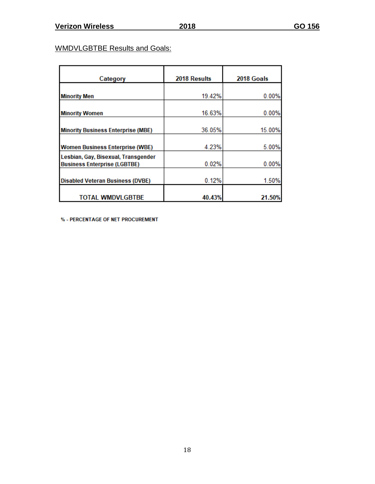# WMDVLGBTBE Results and Goals:

| Category                                                                   | 2018 Results | 2018 Goals |
|----------------------------------------------------------------------------|--------------|------------|
|                                                                            |              |            |
| <b>Minority Men</b>                                                        | 19.42%       | 0.00%      |
| <b>Minority Women</b>                                                      | 16.63%       | 0.00%      |
|                                                                            |              |            |
| <b>Minority Business Enterprise (MBE)</b>                                  | 36.05%       | 15.00%     |
| <b>Women Business Enterprise (WBE)</b>                                     | 4.23%        | 5.00%      |
| Lesbian, Gay, Bisexual, Transgender<br><b>Business Enterprise (LGBTBE)</b> | 0.02%        | 0.00%      |
| <b>Disabled Veteran Business (DVBE)</b>                                    | 0.12%        | 1.50%      |
| <b>TOTAL WMDVLGBTBE</b>                                                    | 40.43%       | 21.50%     |

% - PERCENTAGE OF NET PROCUREMENT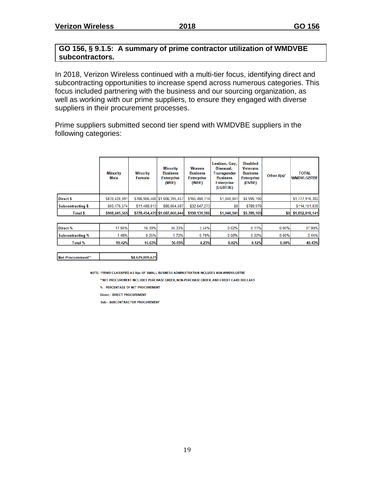# **GO 156, § 9.1.5: A summary of prime contractor utilization of WMDVBE subcontractors.**

In 2018, Verizon Wireless continued with a multi-tier focus, identifying direct and subcontracting opportunities to increase spend across numerous categories. This focus included partnering with the business and our sourcing organization, as well as working with our prime suppliers, to ensure they engaged with diverse suppliers in their procurement processes.

Prime suppliers submitted second tier spend with WMDVBE suppliers in the following categories:

|                          | <b>Minority</b><br>Male | <b>Minority</b><br>Female | <b>Minority</b><br><b>Business</b><br><b>Enterprise</b><br>(MBE) | Women<br><b>Business</b><br><b>Enterprise</b><br>(WBE) | Lesbian, Gay,<br><b>Bisexual.</b><br><b>Transgender</b><br><b>Business</b><br><b>Enterprise</b><br>(LGBTBE) | <b>Disabled</b><br><b>Veterans</b><br><b>Business</b><br><b>Enterprise</b><br>(DVBE) | Other $8(a)^*$ | <b>TOTAL</b><br><b>WMDVLGBTBE</b> |  |
|--------------------------|-------------------------|---------------------------|------------------------------------------------------------------|--------------------------------------------------------|-------------------------------------------------------------------------------------------------------------|--------------------------------------------------------------------------------------|----------------|-----------------------------------|--|
| Direct \$                | \$839,428,991           |                           | \$766,966,466 \$1,606,395,457                                    | \$165,484,714                                          | \$1,040,941                                                                                                 | \$4,995,190                                                                          |                | \$1,777,916,302                   |  |
| <b>Subcontracting \$</b> | \$69,176,574            | \$11,488,013              | \$80,664,587                                                     | \$32,647,273                                           | \$0                                                                                                         | \$789,979                                                                            |                | \$114,101,838                     |  |
| <b>Total \$</b>          | \$908,605,565           |                           | \$778,454,479 \$1,687,060,044                                    | \$198,131,986                                          | \$1,040,941                                                                                                 | \$5,785,169                                                                          |                | \$0 \$1,892,018,141               |  |

| Direct %         | $'7.94\%$ | 16.39% | 34.33% | 3.54% | 0.02%    | .11%  | $0.00\%$ | 37.99% |
|------------------|-----------|--------|--------|-------|----------|-------|----------|--------|
| Subcontracting % | .48%      | 0.25%  | 72%    | 0.70% | $0.00\%$ | 0.02% | $0.00\%$ | 2.44%  |
| Total %          | 19.42%    | 16.63% | 36.05% | 4.23% | 0.02%    | 0.12% | 0.00%    | 40.43% |

Net Procurement\*\* \$4,679,809,675

NOTE: \*FIRMS CLASSIFIED AS 8(a) OF SMALL BUSINESS ADMINISTRATION INCLUDES NON-WMDVLGBTBE

\*\*NET PROCUREMENT INCLUDES PURCHASE ORDER. NON-PURCHASE ORDER. AND CREDIT CARD DOLLARS

% - PERCENTAGE OF NET PROCUREMENT

**Direct - DIRECT PROCUREMENT** 

Sub - SUBCONTRACTOR PROCUREMENT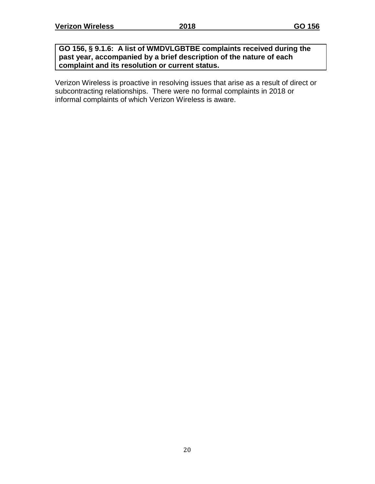#### **GO 156, § 9.1.6: A list of WMDVLGBTBE complaints received during the past year, accompanied by a brief description of the nature of each complaint and its resolution or current status.**

Verizon Wireless is proactive in resolving issues that arise as a result of direct or subcontracting relationships. There were no formal complaints in 2018 or informal complaints of which Verizon Wireless is aware.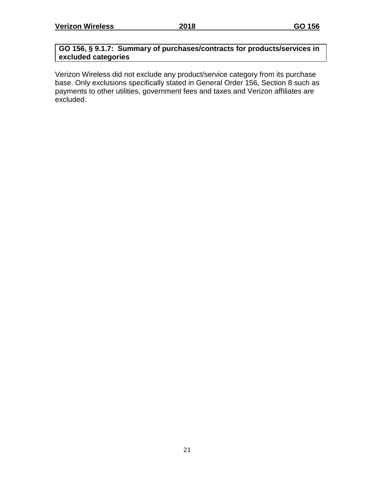# **GO 156, § 9.1.7: Summary of purchases/contracts for products/services in excluded categories**

Verizon Wireless did not exclude any product/service category from its purchase base. Only exclusions specifically stated in General Order 156, Section 8 such as payments to other utilities, government fees and taxes and Verizon affiliates are excluded.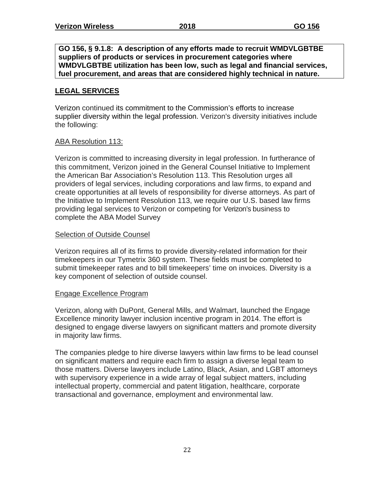**GO 156, § 9.1.8: A description of any efforts made to recruit WMDVLGBTBE suppliers of products or services in procurement categories where WMDVLGBTBE utilization has been low, such as legal and financial services, fuel procurement, and areas that are considered highly technical in nature.**

# **LEGAL SERVICES**

Verizon continued its commitment to the Commission's efforts to increase supplier diversity within the legal profession. Verizon's diversity initiatives include the following:

# ABA Resolution 113:

Verizon is committed to increasing diversity in legal profession. In furtherance of this commitment, Verizon joined in the General Counsel Initiative to Implement the American Bar Association's Resolution 113. This Resolution urges all providers of legal services, including corporations and law firms, to expand and create opportunities at all levels of responsibility for diverse attorneys. As part of the Initiative to Implement Resolution 113, we require our U.S. based law firms providing legal services to Verizon or competing for Verizon's business to complete the ABA Model Survey

# Selection of Outside Counsel

Verizon requires all of its firms to provide diversity-related information for their timekeepers in our Tymetrix 360 system. These fields must be completed to submit timekeeper rates and to bill timekeepers' time on invoices. Diversity is a key component of selection of outside counsel.

# Engage Excellence Program

Verizon, along with DuPont, General Mills, and Walmart, launched the Engage Excellence minority lawyer inclusion incentive program in 2014. The effort is designed to engage diverse lawyers on significant matters and promote diversity in majority law firms.

The companies pledge to hire diverse lawyers within law firms to be lead counsel on significant matters and require each firm to assign a diverse legal team to those matters. Diverse lawyers include Latino, Black, Asian, and LGBT attorneys with supervisory experience in a wide array of legal subject matters, including intellectual property, commercial and patent litigation, healthcare, corporate transactional and governance, employment and environmental law.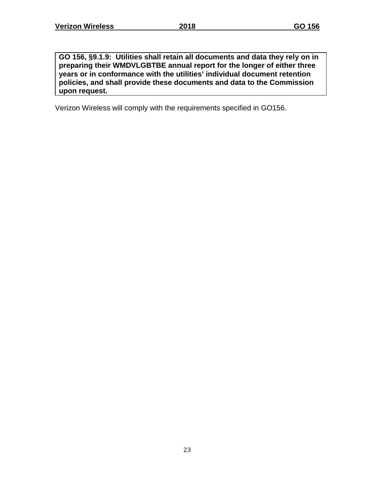**GO 156, §9.1.9: Utilities shall retain all documents and data they rely on in preparing their WMDVLGBTBE annual report for the longer of either three years or in conformance with the utilities' individual document retention policies, and shall provide these documents and data to the Commission upon request.**

Verizon Wireless will comply with the requirements specified in GO156.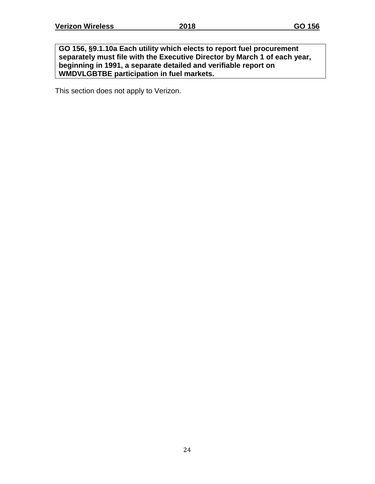**GO 156, §9.1.10a Each utility which elects to report fuel procurement separately must file with the Executive Director by March 1 of each year, beginning in 1991, a separate detailed and verifiable report on WMDVLGBTBE participation in fuel markets.**

This section does not apply to Verizon.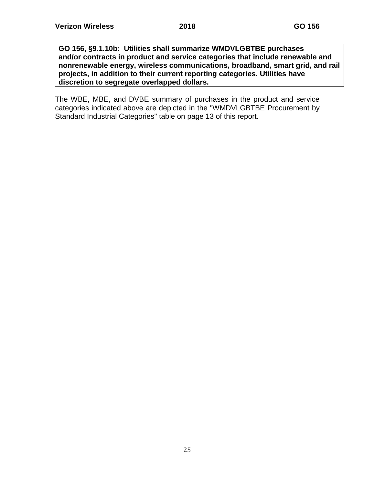**GO 156, §9.1.10b: Utilities shall summarize WMDVLGBTBE purchases and/or contracts in product and service categories that include renewable and nonrenewable energy, wireless communications, broadband, smart grid, and rail projects, in addition to their current reporting categories. Utilities have discretion to segregate overlapped dollars.**

The WBE, MBE, and DVBE summary of purchases in the product and service categories indicated above are depicted in the "WMDVLGBTBE Procurement by Standard Industrial Categories" table on page 13 of this report.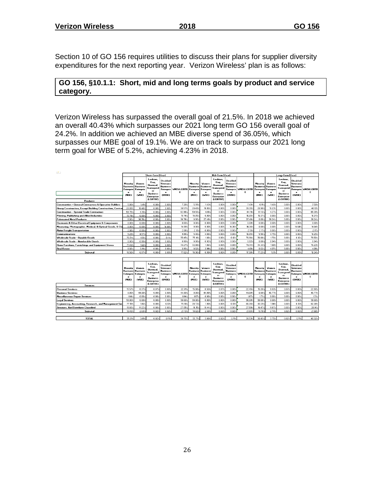Section 10 of GO 156 requires utilities to discuss their plans for supplier diversity expenditures for the next reporting year. Verizon Wireless' plan is as follows:

#### **GO 156, §10.1.1: Short, mid and long terms goals by product and service category.**

Verizon Wireless has surpassed the overall goal of 21.5%. In 2018 we achieved an overall 40.43% which surpasses our 2021 long term GO 156 overall goal of 24.2%. In addition we achieved an MBE diverse spend of 36.05%, which surpasses our MBE goal of 19.1%. We are on track to surpass our 2021 long term goal for WBE of 5.2%, achieving 4.23% in 2018.

| $\overline{z}$                                                      |                                                               |                                                            |                                                                                                            |                                                                                   |                                 |                                                               |                                                            |                                                                                                                |                                                                            |                       |                                                               |                                                                   |                                                                                                       |                                                                            |                       |  |  |  |
|---------------------------------------------------------------------|---------------------------------------------------------------|------------------------------------------------------------|------------------------------------------------------------------------------------------------------------|-----------------------------------------------------------------------------------|---------------------------------|---------------------------------------------------------------|------------------------------------------------------------|----------------------------------------------------------------------------------------------------------------|----------------------------------------------------------------------------|-----------------------|---------------------------------------------------------------|-------------------------------------------------------------------|-------------------------------------------------------------------------------------------------------|----------------------------------------------------------------------------|-----------------------|--|--|--|
|                                                                     | <b>Short-Term [Year]</b>                                      |                                                            |                                                                                                            |                                                                                   |                                 | Mid-Term [Year]                                               |                                                            |                                                                                                                |                                                                            |                       | Long-Term [Year]                                              |                                                                   |                                                                                                       |                                                                            |                       |  |  |  |
| <b>Products</b>                                                     | Minority<br><b>Busines:</b><br><b>Enterpris</b><br>(MBE)      | Vomen<br><b>Busines:</b><br><b>Enterpris</b><br>e<br>(VBE) | Lesbian,<br>Gay,<br><b>Bisexual</b><br><b>Transgenc</b><br>er<br><b>Business</b><br>Enterprise<br>(LGBTBE) | <b>Disabled</b><br>Veterans<br><b>Business</b><br><b>Enterpris</b><br>e<br>(DVBE) | <b>WMDVLGBTB</b><br>E           | Minority<br><b>Business</b><br><b>Enterpris</b><br>۰<br>(MBE) | Women<br><b>Busines:</b><br><b>Enterpris</b><br>(WBE)      | Lesbian.<br>Gay,<br><b>Bisexual</b> ,<br>Transgend<br>$_{\rm cr}$<br><b>Business</b><br>Enterprise<br>(LGBTBE) | Disabled<br>veterans<br><b>Business</b><br><b>Enterpris</b><br>٠<br>(DVBE) | <b>WMDVLGBTB</b><br>E | Minority<br><b>Busines:</b><br><b>Enterpris</b><br>۰<br>(MBE) | Vomen<br><b>Busines:</b><br><b>Enterpris</b><br>(WBE)             | Lesbian,<br>Gay,<br><b>Bisexual</b> ,<br>iransgend<br>er<br><b>Business</b><br>Enterprise<br>(LGBTBE) | Disabled<br>Veterans<br><b>Business</b><br><b>Enterpris</b><br>e<br>(DVBE) | WMDVLGBTB<br>Е        |  |  |  |
| <b>Construction - General Contractors &amp; Operative Builders</b>  | 5.88%                                                         | 141'                                                       | 0.00%                                                                                                      | 0.002                                                                             | 7.28                            | 5.99%                                                         | 143:                                                       | 0.002                                                                                                          | 0.002                                                                      | 7.43%                 | 6.11                                                          | 1462                                                              | 0.002                                                                                                 | 0.00%                                                                      | 7.58%                 |  |  |  |
| Heavy Construction, Except Building Construction, Contra            | 20.03%                                                        | 18.48%                                                     | 0.002                                                                                                      | 0.002                                                                             | 38.57:                          | 20.49%                                                        | 18.85%                                                     | 0.002                                                                                                          | 0.002                                                                      | 39.35%                | 20.90%                                                        | 19.23%                                                            | 0.002                                                                                                 | 0.00%                                                                      | 40.13%                |  |  |  |
| <b>Construction - Special Trade Contractors</b>                     | 58.75%                                                        | 4.10%                                                      | 0.002                                                                                                      | 0.002                                                                             | 62.86%                          | 59.93%                                                        | 4.18 <sub>2</sub>                                          | 0.002                                                                                                          | 0.002                                                                      | 64.11                 | 61.13%                                                        | 4.27                                                              | 0.002                                                                                                 | 0.002                                                                      | 65.39%                |  |  |  |
| Printing, Publishing and Allied Industries                          | 15.74%                                                        | 0.002                                                      | 0.002                                                                                                      | 0.002                                                                             | 15.74%                          | 16.05:                                                        | 0.002                                                      | 0.002                                                                                                          | 0.002                                                                      | 16.05%                | 16.37%                                                        | 0.002                                                             | 0.002                                                                                                 | 0.002                                                                      | 16.37%                |  |  |  |
| <b>Fabricated Metal Products</b>                                    | 0.00%                                                         | 36.76%                                                     | 0.00%                                                                                                      | 0.00%                                                                             | 36.76%                          | 0.00%                                                         | 37.49%                                                     | 0.00%                                                                                                          | 0.002                                                                      | 37.49%                | 0.002                                                         | 38.24:                                                            | 0.002                                                                                                 | 0.002                                                                      | 38.24%                |  |  |  |
| <b>Electronic &amp; Other Electrical Equipment &amp; Components</b> | 0.002                                                         | 0.00%                                                      | 0.002                                                                                                      | 0.00%                                                                             | 0.002                           | 0.002                                                         | 0.002                                                      | 0.002                                                                                                          | 0.002                                                                      | 0.002                 | 0.002                                                         | 0.002                                                             | 0.002                                                                                                 | 0.002                                                                      | 0.002                 |  |  |  |
| Measuring, Photographic, Medical, & Optical Goods, & Clo            | 0.002                                                         | 0.002                                                      | 0.002                                                                                                      | 14.08%                                                                            | 14.08%                          | 0.00%                                                         | 0.003                                                      | 0.002                                                                                                          | 14.36%                                                                     | 14.36%                | 0.002                                                         | 0.002                                                             | 0.00%                                                                                                 | 14 64%                                                                     | 14.64%                |  |  |  |
| <b>Motor Freight Transportation</b>                                 | 2.08%                                                         | 0.002                                                      | 0.002                                                                                                      | 0.002                                                                             | 2.08 <sub>2</sub>               | 2.132                                                         | 0.002                                                      | 0.002                                                                                                          | 0.002                                                                      | 2.137                 | 2.17 <sub>2</sub>                                             | 0.002                                                             | 0.002                                                                                                 | 0.002                                                                      | 2.172                 |  |  |  |
| Communications                                                      | 5.29%                                                         | 4.57%                                                      | 0.002                                                                                                      | n on:                                                                             | 9.862                           | 5.40%                                                         | 4.66%                                                      | 0.002                                                                                                          | 0.002                                                                      | 10.05%                | 5.50%                                                         | 4.75%                                                             | 0.002                                                                                                 | 0.002                                                                      | 10.25%                |  |  |  |
| Wholesale Trade - Durable Goods                                     | 73.71%                                                        | 1.63%                                                      | 0.002                                                                                                      | 0.112                                                                             | 75.45%                          | 75.18%                                                        | 1.66                                                       | 0.002                                                                                                          | 0122                                                                       | 76.96%                | 76.68%                                                        | 170                                                               | 0.002                                                                                                 | 0.122                                                                      | 78.50%                |  |  |  |
| Wholesale Trade - Nondurable Goods                                  | 0.002                                                         | 0.90 <sub>2</sub>                                          | 0.00%                                                                                                      | 0.002                                                                             | 0.90%                           | 0.002                                                         | 0.922                                                      | 0.00%                                                                                                          | 0.002                                                                      | 0.922                 | 0.002                                                         | 0.94                                                              | 0.002                                                                                                 | 0.002                                                                      | 0.942                 |  |  |  |
| Home Furniture, Furnishings and Equipment Stores                    | 7145%                                                         | 1.82%                                                      | 0.00%                                                                                                      | n nn:                                                                             | 73.27:                          | 72.88%                                                        | 1862                                                       | 0.00%                                                                                                          | 0.002                                                                      | 74.74%                | 74.33%                                                        | 1.90%                                                             | 0.00%                                                                                                 | 0.00%                                                                      | 76.23%                |  |  |  |
| <b>Real Estate</b>                                                  | 0.027                                                         | 3.91%                                                      | 0.002                                                                                                      | 0.002                                                                             | 3.93%                           | 0.022                                                         | 3.99%                                                      | 0.002                                                                                                          | 0.00%                                                                      | 4.01%                 | 0.022                                                         | 4.07:                                                             | 0.002                                                                                                 | n nn z                                                                     | 4.03%                 |  |  |  |
| Subtotal                                                            | 16,56%                                                        | 0.97%                                                      | 0.002                                                                                                      | 0.09%                                                                             | 17.62                           | 16.90%                                                        | 0.992                                                      | 0.002                                                                                                          | 0.032                                                                      | 17.98%                | 17.23%                                                        | 1012                                                              | 0.002                                                                                                 | n nav                                                                      | 18.34%                |  |  |  |
|                                                                     |                                                               |                                                            |                                                                                                            |                                                                                   |                                 |                                                               |                                                            |                                                                                                                |                                                                            |                       |                                                               |                                                                   |                                                                                                       |                                                                            |                       |  |  |  |
|                                                                     |                                                               |                                                            |                                                                                                            |                                                                                   |                                 |                                                               |                                                            |                                                                                                                |                                                                            |                       |                                                               |                                                                   |                                                                                                       |                                                                            |                       |  |  |  |
| <b>Services</b>                                                     | Minority<br><b>Busines:</b><br><b>Enterpris</b><br>e<br>(MBE) | Women<br><b>Busines:</b><br><b>Enterpris</b><br>е<br>(VBE) | Lesbian.<br>Gay,<br><b>Bisexual</b><br>ransgeno<br>er<br><b>Business</b><br>Enterprise<br>(LGBTBE)         | <b>Disabled</b><br>Veterans<br><b>Business</b><br><b>Enterpris</b><br>e<br>(DVBE) | <b>WMDVLGBTB Enterpris</b><br>E | <b>Minority</b><br><b>Business</b><br>e<br>(MBE)              | Women<br><b>Busines:</b><br>Enterpris<br>e<br><b>IVBE)</b> | Lesbian.<br>Gay,<br><b>Bisexual</b><br>Transgend<br>er<br><b>Business</b><br>Enterprise<br>(LGBTBE)            | <b>Disabled</b><br>Veterans<br>Business<br>Enterpris<br>e<br>(DVBE)        | <b>WMDVLGBTB</b><br>Е | Minority<br><b>Business</b><br><b>Enterpris</b><br>(MBE)      | Women<br><b>Busines:</b><br><b>Enterpris</b><br>e<br><b>IVBE)</b> | Lesbian.<br>Gay,<br><b>Bisexual</b><br>Transgeno<br>er<br><b>Business</b><br>Enterprise<br>(LGBTBE)   | Disabled<br>Veterans<br><b>Business</b><br><b>Enterpris</b><br>ė<br>(DVBE) | <b>WMDVLGBTB</b><br>Ε |  |  |  |
| Personal Services                                                   | 15.57%                                                        | 6.37                                                       | 0.072                                                                                                      | 0.002                                                                             | 22.01%                          | 15.88%                                                        | 6.50%                                                      | 0.072                                                                                                          | 0.002                                                                      | 22.45%                | 16.20%                                                        | 6.63%                                                             | 0.072                                                                                                 | 0.00%                                                                      | 22.90%                |  |  |  |
| <b>Business Services</b>                                            | 0.002                                                         | 44.00:                                                     | 0.00%                                                                                                      | 0.002                                                                             | 44.00%                          | 0.002                                                         | 44.88:                                                     | 0.00%                                                                                                          | 0.002                                                                      | 44.88%                | 0.002                                                         | 45.77%                                                            | 0.002                                                                                                 | 0.002                                                                      | 45.77%                |  |  |  |
| Miscellaneous Repair Services                                       | 164'                                                          | 0.002                                                      | 0.002                                                                                                      | 0.002                                                                             | 1.64%                           | 1.67%                                                         | 0.002                                                      | 0.00%                                                                                                          | 0.00%                                                                      | 1.67%                 | 1.71%                                                         | 0.002                                                             | 0.002                                                                                                 | 0.00%                                                                      | 1.71%                 |  |  |  |
| <b>Legal Services</b>                                               | 98.00%                                                        | 0.002                                                      | 0.002                                                                                                      | 0.002                                                                             | 98.00:                          | 98.00%                                                        | 0.002                                                      | 0.002                                                                                                          | 0.00%                                                                      | 98.00%                | 98.00%                                                        | 0.002                                                             | 0.002                                                                                                 | 0.00%                                                                      | 98.00%                |  |  |  |
| Engineering, Accounting, Research, and Management Ser               | 77.19%                                                        | 1.86%                                                      | 0.00%                                                                                                      | 0.132                                                                             | 79.18%                          | 78.73%                                                        | 1.90%                                                      | 0.00%                                                                                                          | 0.132                                                                      | 80.76%                | 80.31                                                         | 1.942                                                             | 0.002                                                                                                 | 0.132                                                                      | 82.38%                |  |  |  |
| Services, Not Elsewhere Classified                                  | 15.83%                                                        | 11.22                                                      | 0.002                                                                                                      | 0.002                                                                             | 27.05%                          | 16.15:                                                        | 11.442                                                     | 0.002                                                                                                          | 0.00%                                                                      | 27.59%                | 16.47                                                         | 11.67:                                                            | 0.002                                                                                                 | n nn z                                                                     | 28.14%                |  |  |  |
| Subtotal                                                            | 18.45%                                                        | 2.632                                                      | 0.022                                                                                                      | 0.022                                                                             | 21.13%                          | 18.82                                                         | 2.69%                                                      | 0.022                                                                                                          | 0.022                                                                      | 21.55%                | 19.19.                                                        | 2.742                                                             | 0.022                                                                                                 | 0.022                                                                      | 21.98%                |  |  |  |
|                                                                     |                                                               |                                                            |                                                                                                            |                                                                                   |                                 |                                                               |                                                            |                                                                                                                |                                                                            |                       |                                                               |                                                                   |                                                                                                       |                                                                            |                       |  |  |  |
| TOTAL                                                               | 35.01%                                                        | 3.61%                                                      | 0.02%                                                                                                      | 0.11%                                                                             | 38.75%                          | 35.71%                                                        | 3 BB:                                                      | 0.02%                                                                                                          | n tty                                                                      | 39.535                | 36.43%                                                        | 3.75%                                                             | 0.02%                                                                                                 | n tty                                                                      | 40.32%                |  |  |  |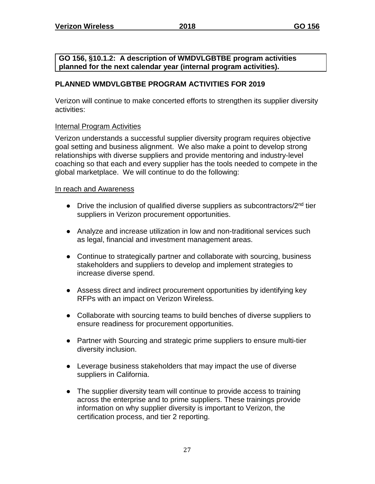**GO 156, §10.1.2: A description of WMDVLGBTBE program activities planned for the next calendar year (internal program activities).**

# **PLANNED WMDVLGBTBE PROGRAM ACTIVITIES FOR 2019**

Verizon will continue to make concerted efforts to strengthen its supplier diversity activities:

# Internal Program Activities

Verizon understands a successful supplier diversity program requires objective goal setting and business alignment. We also make a point to develop strong relationships with diverse suppliers and provide mentoring and industry-level coaching so that each and every supplier has the tools needed to compete in the global marketplace. We will continue to do the following:

# In reach and Awareness

- Drive the inclusion of qualified diverse suppliers as subcontractors/2<sup>nd</sup> tier suppliers in Verizon procurement opportunities.
- Analyze and increase utilization in low and non-traditional services such as legal, financial and investment management areas.
- Continue to strategically partner and collaborate with sourcing, business stakeholders and suppliers to develop and implement strategies to increase diverse spend.
- Assess direct and indirect procurement opportunities by identifying key RFPs with an impact on Verizon Wireless.
- Collaborate with sourcing teams to build benches of diverse suppliers to ensure readiness for procurement opportunities.
- Partner with Sourcing and strategic prime suppliers to ensure multi-tier diversity inclusion.
- Leverage business stakeholders that may impact the use of diverse suppliers in California.
- The supplier diversity team will continue to provide access to training across the enterprise and to prime suppliers. These trainings provide information on why supplier diversity is important to Verizon, the certification process, and tier 2 reporting.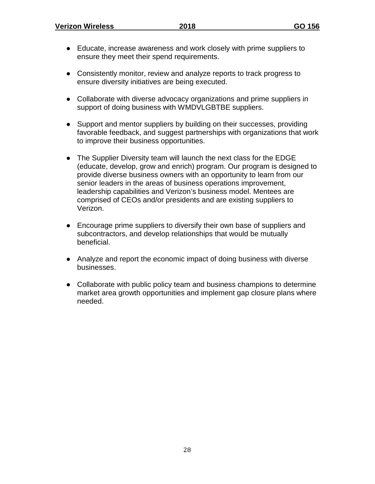- Educate, increase awareness and work closely with prime suppliers to ensure they meet their spend requirements.
- Consistently monitor, review and analyze reports to track progress to ensure diversity initiatives are being executed.
- Collaborate with diverse advocacy organizations and prime suppliers in support of doing business with WMDVLGBTBE suppliers.
- Support and mentor suppliers by building on their successes, providing favorable feedback, and suggest partnerships with organizations that work to improve their business opportunities.
- The Supplier Diversity team will launch the next class for the EDGE (educate, develop, grow and enrich) program. Our program is designed to provide diverse business owners with an opportunity to learn from our senior leaders in the areas of business operations improvement, leadership capabilities and Verizon's business model. Mentees are comprised of CEOs and/or presidents and are existing suppliers to Verizon.
- Encourage prime suppliers to diversify their own base of suppliers and subcontractors, and develop relationships that would be mutually beneficial.
- Analyze and report the economic impact of doing business with diverse businesses.
- Collaborate with public policy team and business champions to determine market area growth opportunities and implement gap closure plans where needed.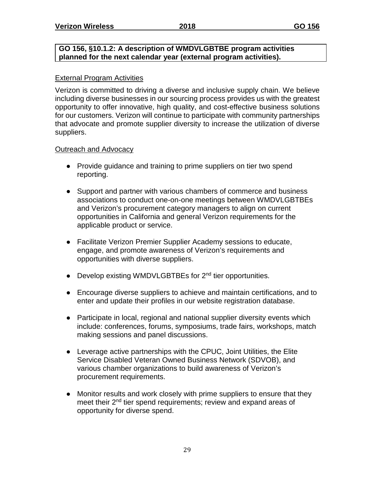#### **GO 156, §10.1.2: A description of WMDVLGBTBE program activities planned for the next calendar year (external program activities).**

# External Program Activities

Verizon is committed to driving a diverse and inclusive supply chain. We believe including diverse businesses in our sourcing process provides us with the greatest opportunity to offer innovative, high quality, and cost-effective business solutions for our customers. Verizon will continue to participate with community partnerships that advocate and promote supplier diversity to increase the utilization of diverse suppliers.

# Outreach and Advocacy

- Provide guidance and training to prime suppliers on tier two spend reporting.
- Support and partner with various chambers of commerce and business associations to conduct one-on-one meetings between WMDVLGBTBEs and Verizon's procurement category managers to align on current opportunities in California and general Verizon requirements for the applicable product or service.
- Facilitate Verizon Premier Supplier Academy sessions to educate, engage, and promote awareness of Verizon's requirements and opportunities with diverse suppliers.
- Develop existing WMDVLGBTBEs for 2<sup>nd</sup> tier opportunities.
- Encourage diverse suppliers to achieve and maintain certifications, and to enter and update their profiles in our website registration database.
- Participate in local, regional and national supplier diversity events which include: conferences, forums, symposiums, trade fairs, workshops, match making sessions and panel discussions.
- Leverage active partnerships with the CPUC, Joint Utilities, the Elite Service Disabled Veteran Owned Business Network (SDVOB), and various chamber organizations to build awareness of Verizon's procurement requirements.
- Monitor results and work closely with prime suppliers to ensure that they meet their 2<sup>nd</sup> tier spend requirements; review and expand areas of opportunity for diverse spend.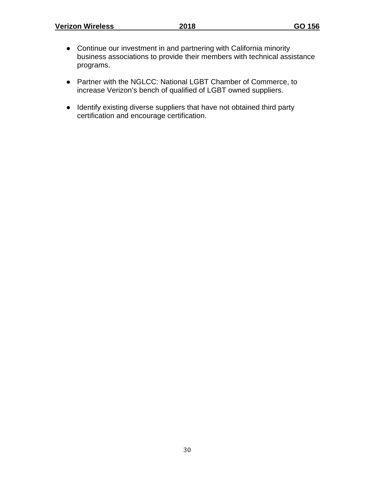- Continue our investment in and partnering with California minority business associations to provide their members with technical assistance programs.
- Partner with the NGLCC: National LGBT Chamber of Commerce, to increase Verizon's bench of qualified of LGBT owned suppliers.
- Identify existing diverse suppliers that have not obtained third party certification and encourage certification.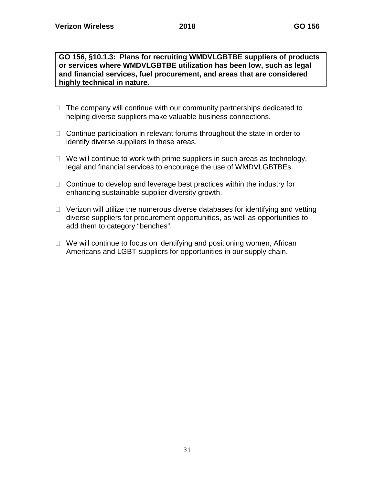**GO 156, §10.1.3: Plans for recruiting WMDVLGBTBE suppliers of products or services where WMDVLGBTBE utilization has been low, such as legal and financial services, fuel procurement, and areas that are considered highly technical in nature.**

- $\Box$  The company will continue with our community partnerships dedicated to helping diverse suppliers make valuable business connections.
- $\Box$  Continue participation in relevant forums throughout the state in order to identify diverse suppliers in these areas.
- $\Box$  We will continue to work with prime suppliers in such areas as technology, legal and financial services to encourage the use of WMDVLGBTBEs.
- $\Box$  Continue to develop and leverage best practices within the industry for enhancing sustainable supplier diversity growth.
- □ Verizon will utilize the numerous diverse databases for identifying and vetting diverse suppliers for procurement opportunities, as well as opportunities to add them to category "benches".
- $\Box$  We will continue to focus on identifying and positioning women, African Americans and LGBT suppliers for opportunities in our supply chain.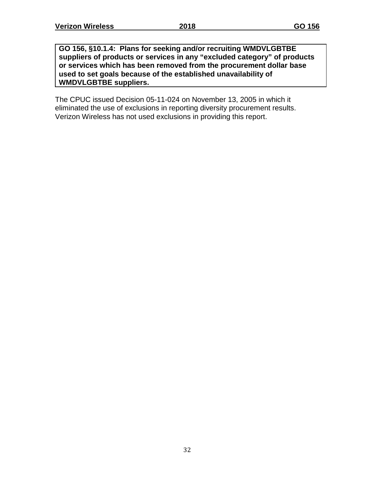**GO 156, §10.1.4: Plans for seeking and/or recruiting WMDVLGBTBE suppliers of products or services in any "excluded category" of products or services which has been removed from the procurement dollar base used to set goals because of the established unavailability of WMDVLGBTBE suppliers.**

The CPUC issued Decision 05-11-024 on November 13, 2005 in which it eliminated the use of exclusions in reporting diversity procurement results. Verizon Wireless has not used exclusions in providing this report.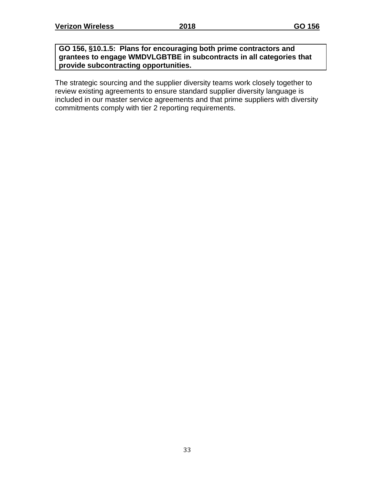#### **GO 156, §10.1.5: Plans for encouraging both prime contractors and grantees to engage WMDVLGBTBE in subcontracts in all categories that provide subcontracting opportunities.**

The strategic sourcing and the supplier diversity teams work closely together to review existing agreements to ensure standard supplier diversity language is included in our master service agreements and that prime suppliers with diversity commitments comply with tier 2 reporting requirements.